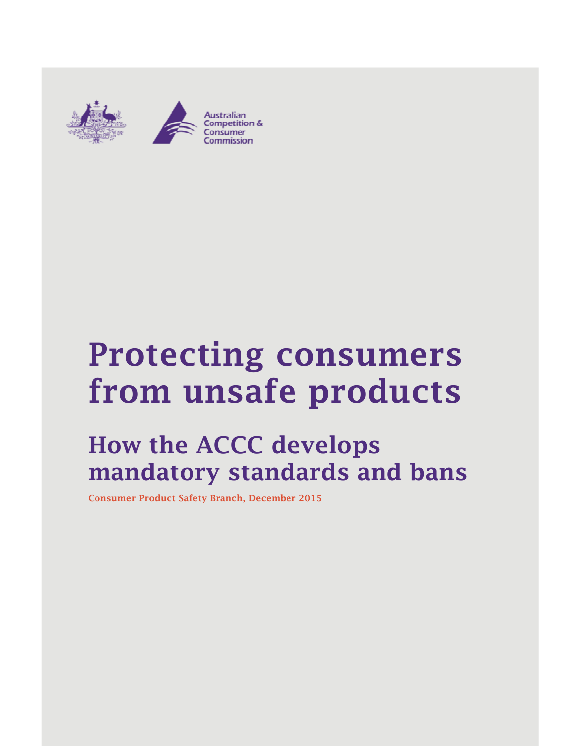

# **Protecting consumers from unsafe products**

## **How the ACCC develops mandatory standards and bans**

**Consumer Product Safety Branch, December 2015**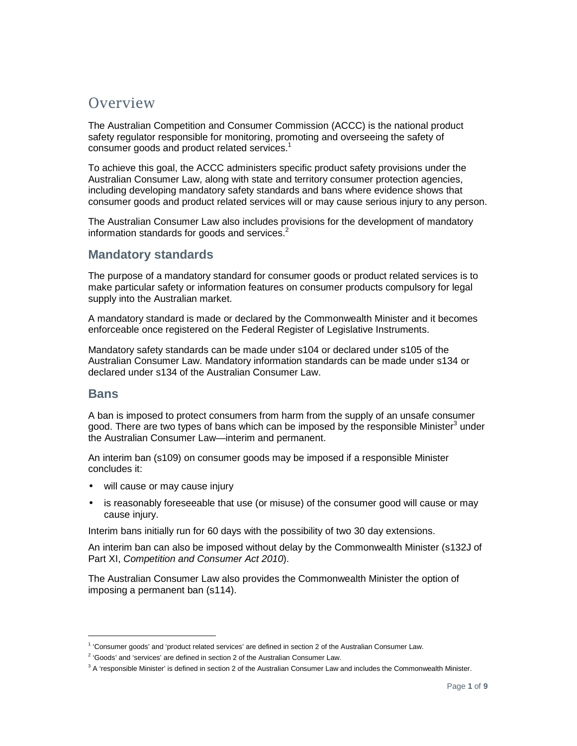## Overview

The Australian Competition and Consumer Commission (ACCC) is the national product safety regulator responsible for monitoring, promoting and overseeing the safety of consumer goods and product related services.<sup>1</sup>

To achieve this goal, the ACCC administers specific product safety provisions under the Australian Consumer Law, along with state and territory consumer protection agencies, including developing mandatory safety standards and bans where evidence shows that consumer goods and product related services will or may cause serious injury to any person.

The Australian Consumer Law also includes provisions for the development of mandatory information standards for goods and services.<sup>2</sup>

#### **Mandatory standards**

The purpose of a mandatory standard for consumer goods or product related services is to make particular safety or information features on consumer products compulsory for legal supply into the Australian market.

A mandatory standard is made or declared by the Commonwealth Minister and it becomes enforceable once registered on the Federal Register of Legislative Instruments.

Mandatory safety standards can be made under s104 or declared under s105 of the Australian Consumer Law. Mandatory information standards can be made under s134 or declared under s134 of the Australian Consumer Law.

#### **Bans**

1

A ban is imposed to protect consumers from harm from the supply of an unsafe consumer good. There are two types of bans which can be imposed by the responsible Minister<sup>3</sup> under the Australian Consumer Law—interim and permanent.

An interim ban (s109) on consumer goods may be imposed if a responsible Minister concludes it:

- will cause or may cause injury
- is reasonably foreseeable that use (or misuse) of the consumer good will cause or may cause injury.

Interim bans initially run for 60 days with the possibility of two 30 day extensions.

An interim ban can also be imposed without delay by the Commonwealth Minister (s132J of Part XI, Competition and Consumer Act 2010).

The Australian Consumer Law also provides the Commonwealth Minister the option of imposing a permanent ban (s114).

<sup>&</sup>lt;sup>1</sup> 'Consumer goods' and 'product related services' are defined in section 2 of the Australian Consumer Law.

 $2$  'Goods' and 'services' are defined in section 2 of the Australian Consumer Law.

<sup>&</sup>lt;sup>3</sup> A 'responsible Minister' is defined in section 2 of the Australian Consumer Law and includes the Commonwealth Minister.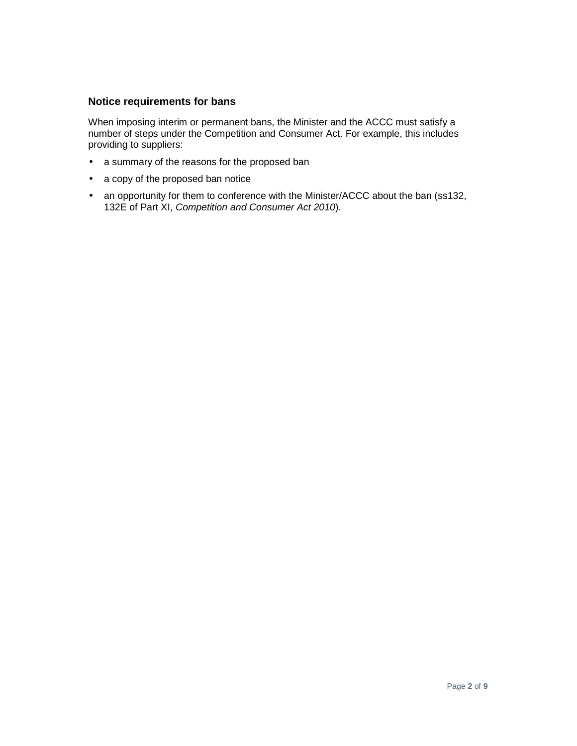#### **Notice requirements for bans**

When imposing interim or permanent bans, the Minister and the ACCC must satisfy a number of steps under the Competition and Consumer Act. For example, this includes providing to suppliers:

- a summary of the reasons for the proposed ban
- a copy of the proposed ban notice
- an opportunity for them to conference with the Minister/ACCC about the ban (ss132, 132E of Part XI, Competition and Consumer Act 2010).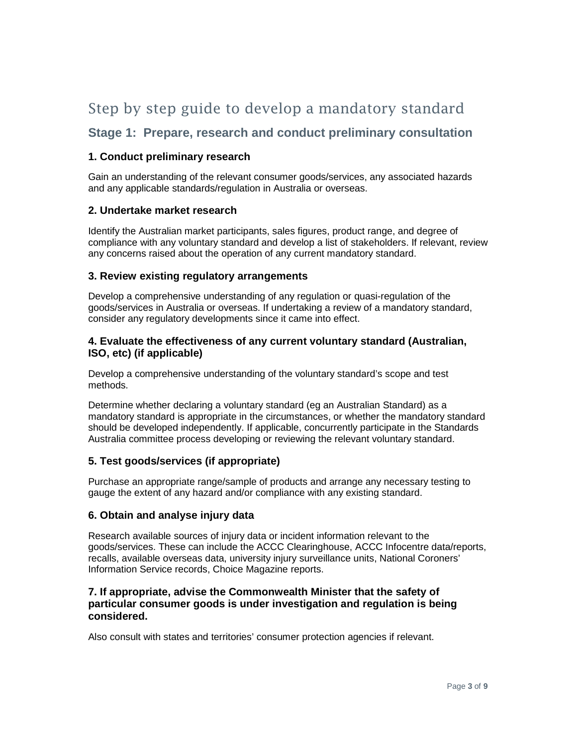## Step by step guide to develop a mandatory standard

### **Stage 1: Prepare, research and conduct preliminary consultation**

#### **1. Conduct preliminary research**

Gain an understanding of the relevant consumer goods/services, any associated hazards and any applicable standards/regulation in Australia or overseas.

#### **2. Undertake market research**

Identify the Australian market participants, sales figures, product range, and degree of compliance with any voluntary standard and develop a list of stakeholders. If relevant, review any concerns raised about the operation of any current mandatory standard.

#### **3. Review existing regulatory arrangements**

Develop a comprehensive understanding of any regulation or quasi-regulation of the goods/services in Australia or overseas. If undertaking a review of a mandatory standard, consider any regulatory developments since it came into effect.

#### **4. Evaluate the effectiveness of any current voluntary standard (Australian, ISO, etc) (if applicable)**

Develop a comprehensive understanding of the voluntary standard's scope and test methods.

Determine whether declaring a voluntary standard (eg an Australian Standard) as a mandatory standard is appropriate in the circumstances, or whether the mandatory standard should be developed independently. If applicable, concurrently participate in the Standards Australia committee process developing or reviewing the relevant voluntary standard.

#### **5. Test goods/services (if appropriate)**

Purchase an appropriate range/sample of products and arrange any necessary testing to gauge the extent of any hazard and/or compliance with any existing standard.

#### **6. Obtain and analyse injury data**

Research available sources of injury data or incident information relevant to the goods/services. These can include the ACCC Clearinghouse, ACCC Infocentre data/reports, recalls, available overseas data, university injury surveillance units, National Coroners' Information Service records, Choice Magazine reports.

#### **7. If appropriate, advise the Commonwealth Minister that the safety of particular consumer goods is under investigation and regulation is being considered.**

Also consult with states and territories' consumer protection agencies if relevant.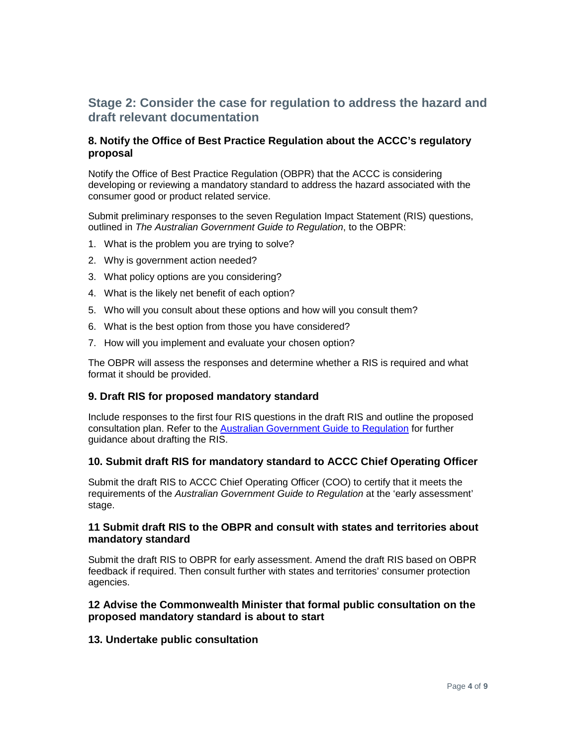#### **Stage 2: Consider the case for regulation to address the hazard and draft relevant documentation**

#### **8. Notify the Office of Best Practice Regulation about the ACCC's regulatory proposal**

Notify the Office of Best Practice Regulation (OBPR) that the ACCC is considering developing or reviewing a mandatory standard to address the hazard associated with the consumer good or product related service.

Submit preliminary responses to the seven Regulation Impact Statement (RIS) questions, outlined in The Australian Government Guide to Regulation, to the OBPR:

- 1. What is the problem you are trying to solve?
- 2. Why is government action needed?
- 3. What policy options are you considering?
- 4. What is the likely net benefit of each option?
- 5. Who will you consult about these options and how will you consult them?
- 6. What is the best option from those you have considered?
- 7. How will you implement and evaluate your chosen option?

The OBPR will assess the responses and determine whether a RIS is required and what format it should be provided.

#### **9. Draft RIS for proposed mandatory standard**

Include responses to the first four RIS questions in the draft RIS and outline the proposed consultation plan. Refer to the Australian Government Guide to Regulation for further guidance about drafting the RIS.

#### **10. Submit draft RIS for mandatory standard to ACCC Chief Operating Officer**

Submit the draft RIS to ACCC Chief Operating Officer (COO) to certify that it meets the requirements of the Australian Government Guide to Regulation at the 'early assessment' stage.

#### **11 Submit draft RIS to the OBPR and consult with states and territories about mandatory standard**

Submit the draft RIS to OBPR for early assessment. Amend the draft RIS based on OBPR feedback if required. Then consult further with states and territories' consumer protection agencies.

#### **12 Advise the Commonwealth Minister that formal public consultation on the proposed mandatory standard is about to start**

#### **13. Undertake public consultation**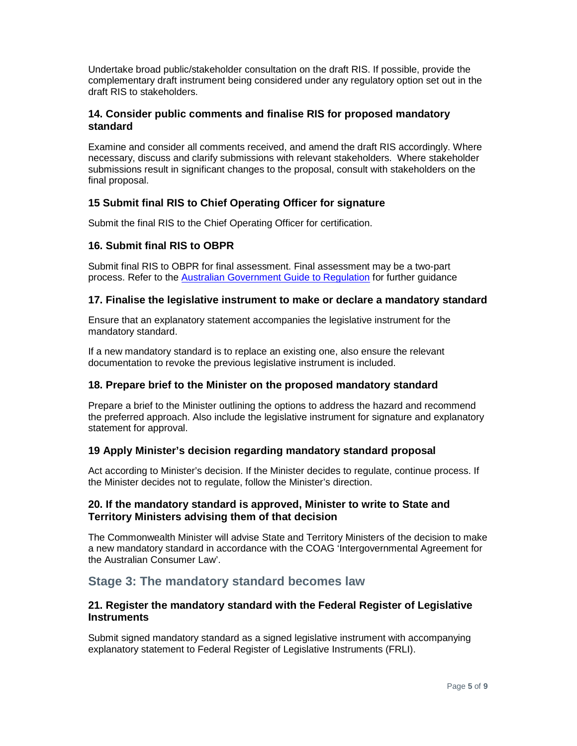Undertake broad public/stakeholder consultation on the draft RIS. If possible, provide the complementary draft instrument being considered under any regulatory option set out in the draft RIS to stakeholders.

#### **14. Consider public comments and finalise RIS for proposed mandatory standard**

Examine and consider all comments received, and amend the draft RIS accordingly. Where necessary, discuss and clarify submissions with relevant stakeholders. Where stakeholder submissions result in significant changes to the proposal, consult with stakeholders on the final proposal.

#### **15 Submit final RIS to Chief Operating Officer for signature**

Submit the final RIS to the Chief Operating Officer for certification.

#### **16. Submit final RIS to OBPR**

Submit final RIS to OBPR for final assessment. Final assessment may be a two-part process. Refer to the Australian Government Guide to Regulation for further guidance

#### **17. Finalise the legislative instrument to make or declare a mandatory standard**

Ensure that an explanatory statement accompanies the legislative instrument for the mandatory standard.

If a new mandatory standard is to replace an existing one, also ensure the relevant documentation to revoke the previous legislative instrument is included.

#### **18. Prepare brief to the Minister on the proposed mandatory standard**

Prepare a brief to the Minister outlining the options to address the hazard and recommend the preferred approach. Also include the legislative instrument for signature and explanatory statement for approval.

#### **19 Apply Minister's decision regarding mandatory standard proposal**

Act according to Minister's decision. If the Minister decides to regulate, continue process. If the Minister decides not to regulate, follow the Minister's direction.

#### **20. If the mandatory standard is approved, Minister to write to State and Territory Ministers advising them of that decision**

The Commonwealth Minister will advise State and Territory Ministers of the decision to make a new mandatory standard in accordance with the COAG 'Intergovernmental Agreement for the Australian Consumer Law'.

#### **Stage 3: The mandatory standard becomes law**

#### **21. Register the mandatory standard with the Federal Register of Legislative Instruments**

Submit signed mandatory standard as a signed legislative instrument with accompanying explanatory statement to Federal Register of Legislative Instruments (FRLI).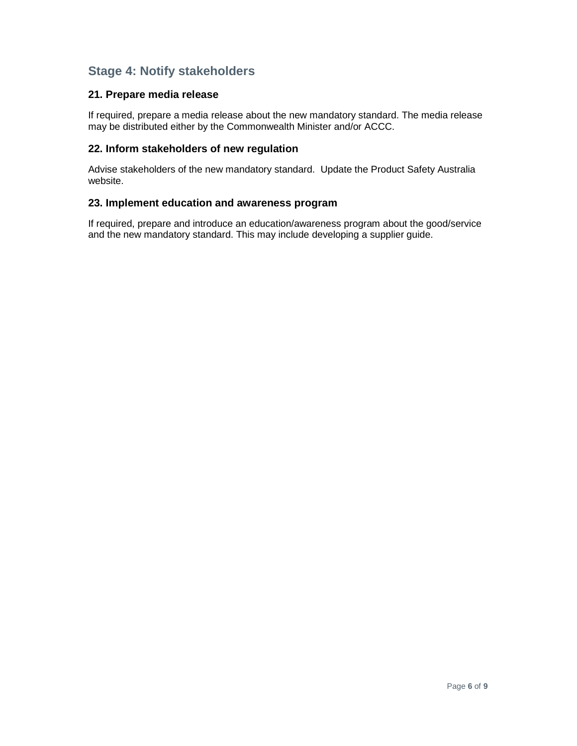## **Stage 4: Notify stakeholders**

#### **21. Prepare media release**

If required, prepare a media release about the new mandatory standard. The media release may be distributed either by the Commonwealth Minister and/or ACCC.

#### **22. Inform stakeholders of new regulation**

Advise stakeholders of the new mandatory standard. Update the Product Safety Australia website.

#### **23. Implement education and awareness program**

If required, prepare and introduce an education/awareness program about the good/service and the new mandatory standard. This may include developing a supplier guide.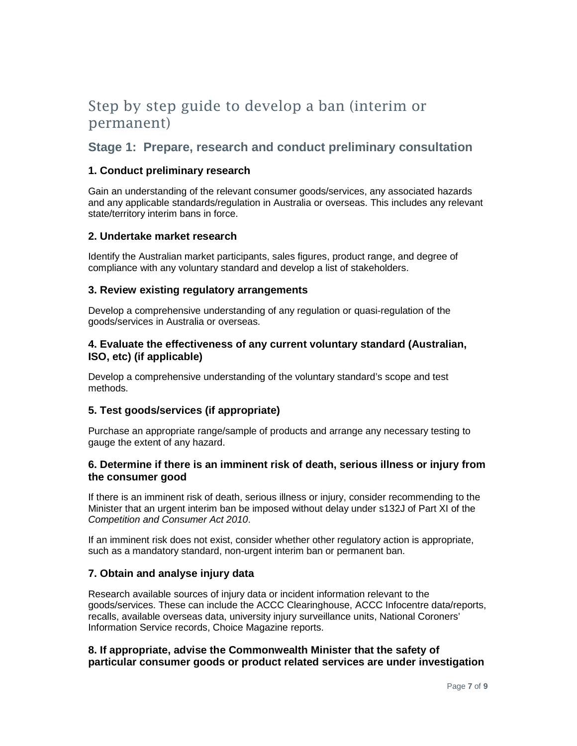## Step by step guide to develop a ban (interim or permanent)

#### **Stage 1: Prepare, research and conduct preliminary consultation**

#### **1. Conduct preliminary research**

Gain an understanding of the relevant consumer goods/services, any associated hazards and any applicable standards/regulation in Australia or overseas. This includes any relevant state/territory interim bans in force.

#### **2. Undertake market research**

Identify the Australian market participants, sales figures, product range, and degree of compliance with any voluntary standard and develop a list of stakeholders.

#### **3. Review existing regulatory arrangements**

Develop a comprehensive understanding of any regulation or quasi-regulation of the goods/services in Australia or overseas.

#### **4. Evaluate the effectiveness of any current voluntary standard (Australian, ISO, etc) (if applicable)**

Develop a comprehensive understanding of the voluntary standard's scope and test methods.

#### **5. Test goods/services (if appropriate)**

Purchase an appropriate range/sample of products and arrange any necessary testing to gauge the extent of any hazard.

#### **6. Determine if there is an imminent risk of death, serious illness or injury from the consumer good**

If there is an imminent risk of death, serious illness or injury, consider recommending to the Minister that an urgent interim ban be imposed without delay under s132J of Part XI of the Competition and Consumer Act 2010.

If an imminent risk does not exist, consider whether other regulatory action is appropriate, such as a mandatory standard, non-urgent interim ban or permanent ban.

#### **7. Obtain and analyse injury data**

Research available sources of injury data or incident information relevant to the goods/services. These can include the ACCC Clearinghouse, ACCC Infocentre data/reports, recalls, available overseas data, university injury surveillance units, National Coroners' Information Service records, Choice Magazine reports.

#### **8. If appropriate, advise the Commonwealth Minister that the safety of particular consumer goods or product related services are under investigation**